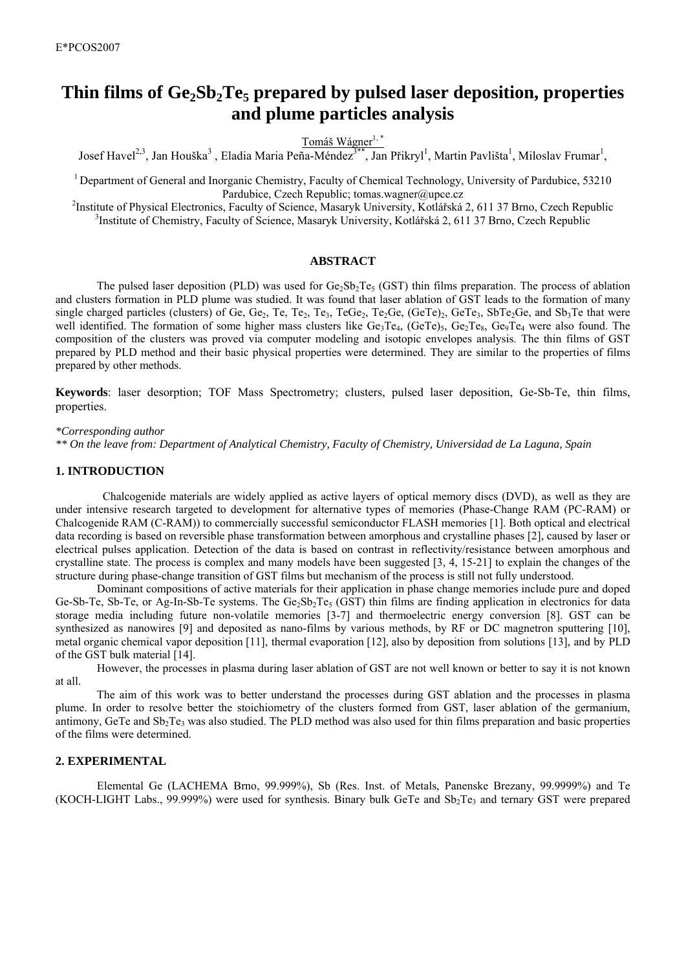# Thin films of Ge<sub>2</sub>Sb<sub>2</sub>Te<sub>5</sub> prepared by pulsed laser deposition, properties **and plume particles analysis**

Tomáš Wágner<sup>1,\*</sup>

Josef Havel<sup>2,3</sup>, Jan Houška<sup>3</sup>, Eladia Maria Peña-Méndez<sup>3\*\*</sup>, Jan Přikryl<sup>1</sup>, Martin Pavlišta<sup>1</sup>, Miloslav Frumar<sup>1</sup>,

<sup>1</sup> Department of General and Inorganic Chemistry, Faculty of Chemical Technology, University of Pardubice, 53210 Pardubice, Czech Republic; tomas.wagner@upce.cz<br><sup>2</sup>Institute of Physical Electronics, Eqsuity of Seggnes, Meseryk University, Kotléřská

Institute of Physical Electronics, Faculty of Science, Masaryk University, Kotlářská 2, 611 37 Brno, Czech Republic 3<br><sup>3</sup>Institute of Chemistry, Faculty of Science, Masaryk University, Kotlářská 2, 611 37 Brno, Czech Repub <sup>3</sup>Institute of Chemistry, Faculty of Science, Masaryk University, Kotlářská 2, 611 37 Brno, Czech Republic

## **ABSTRACT**

The pulsed laser deposition (PLD) was used for  $Ge_2Sb_2Te_5$  (GST) thin films preparation. The process of ablation and clusters formation in PLD plume was studied. It was found that laser ablation of GST leads to the formation of many single charged particles (clusters) of Ge, Ge<sub>2</sub>, Te<sub>3</sub>, Te<sub>3</sub>, Te<sub>3</sub>, TeGe<sub>2</sub>, Te<sub>2</sub>Ge, (GeTe<sub>1</sub>), GeTe<sub>3</sub>, SbTe<sub>2</sub>Ge, and Sb<sub>3</sub>Te that were well identified. The formation of some higher mass clusters like  $Ge_3Te_4$ ,  $Ge_1Te_3$ ,  $Ge_2Te_8$ ,  $Ge_9Te_4$  were also found. The composition of the clusters was proved via computer modeling and isotopic envelopes analysis. The thin films of GST prepared by PLD method and their basic physical properties were determined. They are similar to the properties of films prepared by other methods.

**Keywords**: laser desorption; TOF Mass Spectrometry; clusters, pulsed laser deposition, Ge-Sb-Te, thin films, properties.

#### *\*Corresponding author*

*\*\* On the leave from: Department of Analytical Chemistry, Faculty of Chemistry, Universidad de La Laguna, Spain* 

## **1. INTRODUCTION**

 Chalcogenide materials are widely applied as active layers of optical memory discs (DVD), as well as they are under intensive research targeted to development for alternative types of memories (Phase-Change RAM (PC-RAM) or Chalcogenide RAM (C-RAM)) to commercially successful semiconductor FLASH memories [1]. Both optical and electrical data recording is based on reversible phase transformation between amorphous and crystalline phases [2], caused by laser or electrical pulses application. Detection of the data is based on contrast in reflectivity/resistance between amorphous and crystalline state. The process is complex and many models have been suggested [3, 4, 15-21] to explain the changes of the structure during phase-change transition of GST films but mechanism of the process is still not fully understood.

Dominant compositions of active materials for their application in phase change memories include pure and doped Ge-Sb-Te, Sb-Te, or Ag-In-Sb-Te systems. The Ge<sub>2</sub>Sb<sub>2</sub>Te<sub>5</sub> (GST) thin films are finding application in electronics for data storage media including future non-volatile memories [3-7] and thermoelectric energy conversion [8]. GST can be synthesized as nanowires [9] and deposited as nano-films by various methods, by RF or DC magnetron sputtering [10], metal organic chemical vapor deposition [11], thermal evaporation [12], also by deposition from solutions [13], and by PLD of the GST bulk material [14].

However, the processes in plasma during laser ablation of GST are not well known or better to say it is not known at all.

The aim of this work was to better understand the processes during GST ablation and the processes in plasma plume. In order to resolve better the stoichiometry of the clusters formed from GST, laser ablation of the germanium, antimony, GeTe and  $Sb<sub>2</sub>Te<sub>3</sub>$  was also studied. The PLD method was also used for thin films preparation and basic properties of the films were determined.

# **2. EXPERIMENTAL**

Elemental Ge (LACHEMA Brno, 99.999%), Sb (Res. Inst. of Metals, Panenske Brezany, 99.9999%) and Te (KOCH-LIGHT Labs., 99.999%) were used for synthesis. Binary bulk GeTe and  $Sb<sub>2</sub>Te<sub>3</sub>$  and ternary GST were prepared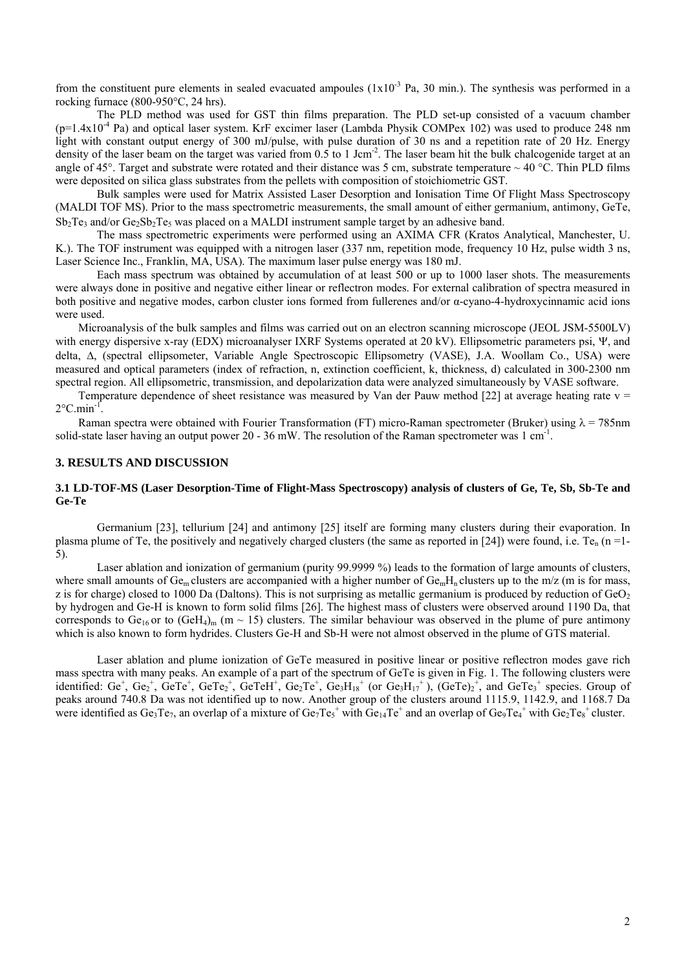from the constituent pure elements in sealed evacuated ampoules  $(1x10<sup>-3</sup>$  Pa, 30 min.). The synthesis was performed in a rocking furnace (800-950°C, 24 hrs).

The PLD method was used for GST thin films preparation. The PLD set-up consisted of a vacuum chamber  $(p=1.4x10^{-4}$  Pa) and optical laser system. KrF excimer laser (Lambda Physik COMPex 102) was used to produce 248 nm light with constant output energy of 300 mJ/pulse, with pulse duration of 30 ns and a repetition rate of 20 Hz. Energy density of the laser beam on the target was varied from 0.5 to 1 Jcm<sup>-2</sup>. The laser beam hit the bulk chalcogenide target at an angle of 45°. Target and substrate were rotated and their distance was 5 cm, substrate temperature  $\sim$  40 °C. Thin PLD films were deposited on silica glass substrates from the pellets with composition of stoichiometric GST.

Bulk samples were used for Matrix Assisted Laser Desorption and Ionisation Time Of Flight Mass Spectroscopy (MALDI TOF MS). Prior to the mass spectrometric measurements, the small amount of either germanium, antimony, GeTe,  $Sb_2Te_3$  and/or  $Ge_2Sb_2Te_5$  was placed on a MALDI instrument sample target by an adhesive band.

The mass spectrometric experiments were performed using an AXIMA CFR (Kratos Analytical, Manchester, U. K.). The TOF instrument was equipped with a nitrogen laser (337 nm, repetition mode, frequency 10 Hz, pulse width 3 ns, Laser Science Inc., Franklin, MA, USA). The maximum laser pulse energy was 180 mJ.

Each mass spectrum was obtained by accumulation of at least 500 or up to 1000 laser shots. The measurements were always done in positive and negative either linear or reflectron modes. For external calibration of spectra measured in both positive and negative modes, carbon cluster ions formed from fullerenes and/or α-cyano-4-hydroxycinnamic acid ions were used.

Microanalysis of the bulk samples and films was carried out on an electron scanning microscope (JEOL JSM-5500LV) with energy dispersive x-ray (EDX) microanalyser IXRF Systems operated at 20 kV). Ellipsometric parameters psi, Ψ, and delta, Δ, (spectral ellipsometer, Variable Angle Spectroscopic Ellipsometry (VASE), J.A. Woollam Co., USA) were measured and optical parameters (index of refraction, n, extinction coefficient, k, thickness, d) calculated in 300-2300 nm spectral region. All ellipsometric, transmission, and depolarization data were analyzed simultaneously by VASE software.

Temperature dependence of sheet resistance was measured by Van der Pauw method [22] at average heating rate  $v =$  $2^{\circ}$ C.min<sup>-1</sup>.

Raman spectra were obtained with Fourier Transformation (FT) micro-Raman spectrometer (Bruker) using  $\lambda = 785$ nm solid-state laser having an output power 20 - 36 mW. The resolution of the Raman spectrometer was  $1 \text{ cm}^{-1}$ .

#### **3. RESULTS AND DISCUSSION**

### **3.1 LD-TOF-MS (Laser Desorption-Time of Flight-Mass Spectroscopy) analysis of clusters of Ge, Te, Sb, Sb-Te and Ge-Te**

Germanium [23], tellurium [24] and antimony [25] itself are forming many clusters during their evaporation. In plasma plume of Te, the positively and negatively charged clusters (the same as reported in [24]) were found, i.e. Te<sub>n</sub> (n =1-5).

Laser ablation and ionization of germanium (purity 99.9999 %) leads to the formation of large amounts of clusters, where small amounts of Ge<sub>m</sub> clusters are accompanied with a higher number of  $Ge_mH_n$  clusters up to the m/z (m is for mass, z is for charge) closed to 1000 Da (Daltons). This is not surprising as metallic germanium is produced by reduction of  $GeO<sub>2</sub>$ by hydrogen and Ge-H is known to form solid films [26]. The highest mass of clusters were observed around 1190 Da, that corresponds to  $Ge_{16}$  or to  $(GeH_4)_{m}$  (m ~ 15) clusters. The similar behaviour was observed in the plume of pure antimony which is also known to form hydrides. Clusters Ge-H and Sb-H were not almost observed in the plume of GTS material.

Laser ablation and plume ionization of GeTe measured in positive linear or positive reflectron modes gave rich mass spectra with many peaks. An example of a part of the spectrum of GeTe is given in Fig. 1. The following clusters were identified:  $Ge^+$ ,  $Ge_2^+$ ,  $GeTe^+$ ,  $GeTe^+$ ,  $Ge_1He^+$ ,  $Ge_2Te^+$ ,  $Ge_3H_{18}^+$  (or  $Ge_3H_{17}^+$ ),  $(GeTe_2^+$ , and  $GeTe_3^+$  species. Group of peaks around 740.8 Da was not identified up to now. Another group of the clusters around 1115.9, 1142.9, and 1168.7 Da were identified as  $Ge_3Te_7$ , an overlap of a mixture of  $Ge_7Te_5^+$  with  $Ge_{14}Te^+$  and an overlap of  $Ge_9Te_4^+$  with  $Ge_2Te_8^+$  cluster.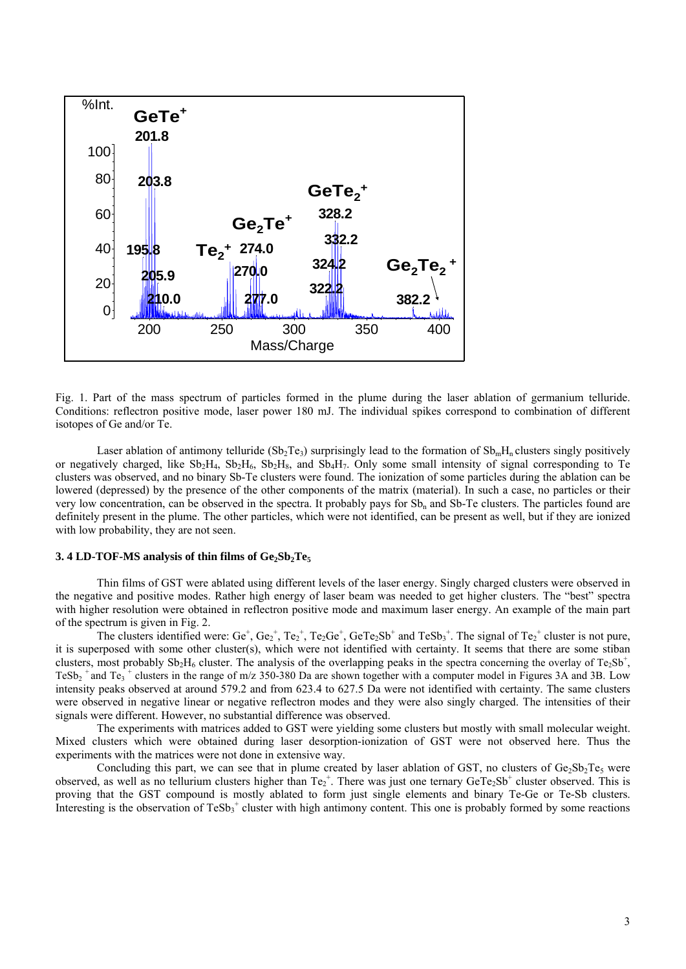

Fig. 1. Part of the mass spectrum of particles formed in the plume during the laser ablation of germanium telluride. Conditions: reflectron positive mode, laser power 180 mJ. The individual spikes correspond to combination of different isotopes of Ge and/or Te.

Laser ablation of antimony telluride  $(Sb_2Te_3)$  surprisingly lead to the formation of  $Sb_mH_n$  clusters singly positively or negatively charged, like  $Sb_2H_4$ ,  $Sb_2H_6$ ,  $Sb_2H_8$ , and  $Sb_4H_7$ . Only some small intensity of signal corresponding to Te clusters was observed, and no binary Sb-Te clusters were found. The ionization of some particles during the ablation can be lowered (depressed) by the presence of the other components of the matrix (material). In such a case, no particles or their very low concentration, can be observed in the spectra. It probably pays for Sb<sub>n</sub> and Sb-Te clusters. The particles found are definitely present in the plume. The other particles, which were not identified, can be present as well, but if they are ionized with low probability, they are not seen.

#### 3. 4 LD-TOF-MS analysis of thin films of  $Ge_2Sb_2Te_5$

Thin films of GST were ablated using different levels of the laser energy. Singly charged clusters were observed in the negative and positive modes. Rather high energy of laser beam was needed to get higher clusters. The "best" spectra with higher resolution were obtained in reflectron positive mode and maximum laser energy. An example of the main part of the spectrum is given in Fig. 2.

The clusters identified were:  $Ge^+$ ,  $Ge_2^+$ ,  $Te_2^+$ ,  $Te_2Ge^+$ ,  $GeTe_2Sb^+$  and  $TeSb_3^+$ . The signal of  $Te_2^+$  cluster is not pure, it is superposed with some other cluster(s), which were not identified with certainty. It seems that there are some stiban clusters, most probably  $Sb_2H_6$  cluster. The analysis of the overlapping peaks in the spectra concerning the overlay of Te<sub>2</sub>Sb<sup>+</sup>, TeSb<sub>2</sub><sup>+</sup> and Te<sub>3</sub><sup>+</sup> clusters in the range of m/z 350-380 Da are shown together with a computer model in Figures 3A and 3B. Low intensity peaks observed at around 579.2 and from 623.4 to 627.5 Da were not identified with certainty. The same clusters were observed in negative linear or negative reflectron modes and they were also singly charged. The intensities of their signals were different. However, no substantial difference was observed.

The experiments with matrices added to GST were yielding some clusters but mostly with small molecular weight. Mixed clusters which were obtained during laser desorption-ionization of GST were not observed here. Thus the experiments with the matrices were not done in extensive way.

Concluding this part, we can see that in plume created by laser ablation of GST, no clusters of  $Ge_2Sb_2Te_5$  were observed, as well as no tellurium clusters higher than  $Te_2^+$ . There was just one ternary  $GeTe_2Sb^+$  cluster observed. This is proving that the GST compound is mostly ablated to form just single elements and binary Te-Ge or Te-Sb clusters. Interesting is the observation of  $TeSb_3$ <sup>+</sup> cluster with high antimony content. This one is probably formed by some reactions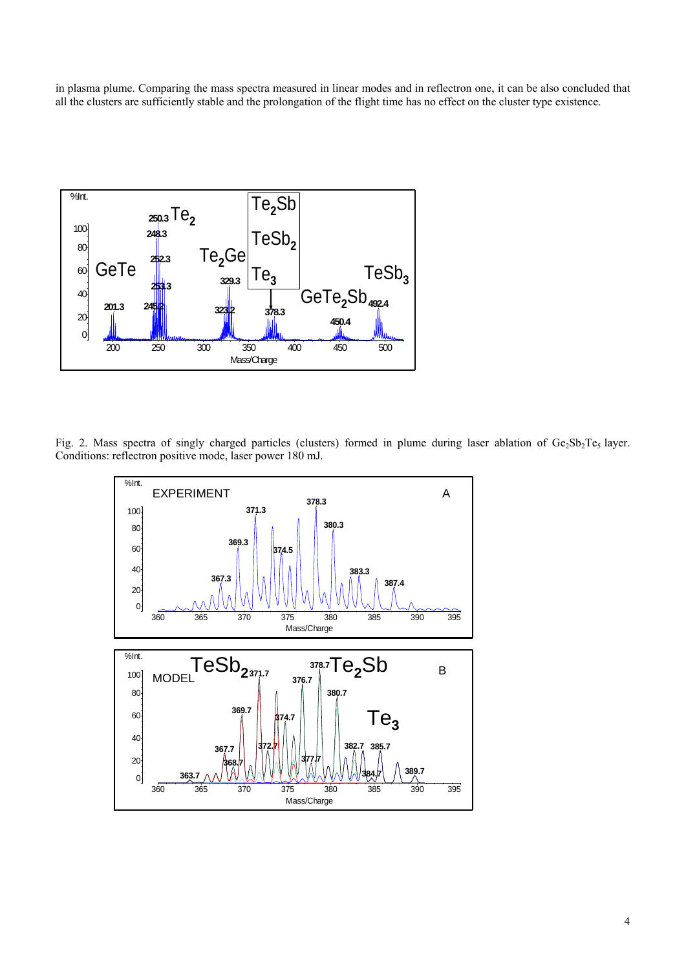in plasma plume. Comparing the mass spectra measured in linear modes and in reflectron one, it can be also concluded that all the clusters are sufficiently stable and the prolongation of the flight time has no effect on the cluster type existence.



Fig. 2. Mass spectra of singly charged particles (clusters) formed in plume during laser ablation of Ge<sub>2</sub>Sb<sub>2</sub>Te<sub>5</sub> layer. Conditions: reflectron positive mode, laser power 180 mJ.

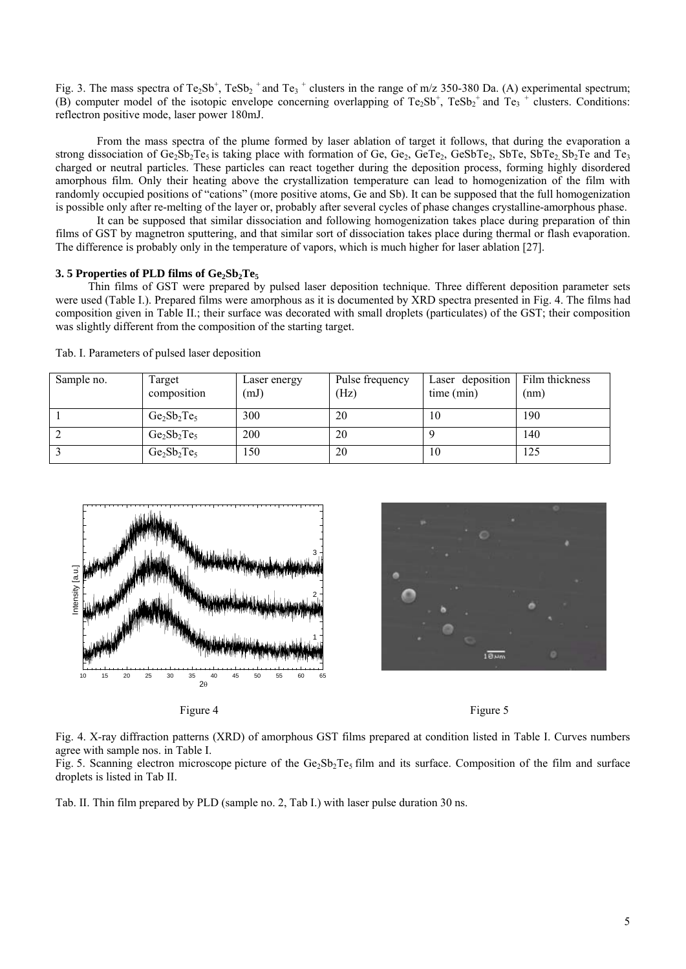Fig. 3. The mass spectra of Te<sub>2</sub>Sb<sup>+</sup>, TeSb<sub>2</sub><sup>+</sup> and Te<sub>3</sub><sup>+</sup> clusters in the range of m/z 350-380 Da. (A) experimental spectrum; (B) computer model of the isotopic envelope concerning overlapping of  $Te_2Sb^+$ ,  $TeSb_2^+$  and  $Te_3^+$  clusters. Conditions: reflectron positive mode, laser power 180mJ.

From the mass spectra of the plume formed by laser ablation of target it follows, that during the evaporation a strong dissociation of Ge<sub>2</sub>Sb<sub>2</sub>Te<sub>5</sub> is taking place with formation of Ge, Ge<sub>2</sub>, GeTe<sub>2</sub>, GeSbTe<sub>2</sub>, SbTe, SbTe<sub>2</sub>, Sb<sub>2</sub>Te and Te<sub>3</sub> charged or neutral particles. These particles can react together during the deposition process, forming highly disordered amorphous film. Only their heating above the crystallization temperature can lead to homogenization of the film with randomly occupied positions of "cations" (more positive atoms, Ge and Sb). It can be supposed that the full homogenization is possible only after re-melting of the layer or, probably after several cycles of phase changes crystalline-amorphous phase.

It can be supposed that similar dissociation and following homogenization takes place during preparation of thin films of GST by magnetron sputtering, and that similar sort of dissociation takes place during thermal or flash evaporation. The difference is probably only in the temperature of vapors, which is much higher for laser ablation [27].

#### **3. 5 Properties of PLD films of Ge<sub>2</sub>Sb<sub>2</sub>Te<sub>5</sub>**

Thin films of GST were prepared by pulsed laser deposition technique. Three different deposition parameter sets were used (Table I.). Prepared films were amorphous as it is documented by XRD spectra presented in Fig. 4. The films had composition given in Table II.; their surface was decorated with small droplets (particulates) of the GST; their composition was slightly different from the composition of the starting target.

| Sample no. | Target<br>composition | Laser energy<br>(mJ) | Pulse frequency<br>(Hz) | Laser deposition<br>time (min) | Film thickness<br>(nm) |
|------------|-----------------------|----------------------|-------------------------|--------------------------------|------------------------|
|            | $Ge_2Sb_2Te_5$        | 300                  | 20                      | 10                             | 190                    |
|            | $Ge_2Sb_2Te_5$        | 200                  | 20                      |                                | 140                    |
|            | $Ge_2Sb_2Te_5$        | 150                  | 20                      | 10                             | 125                    |

Tab. I. Parameters of pulsed laser deposition



Figure 4 Figure 5



Fig. 4. X-ray diffraction patterns (XRD) of amorphous GST films prepared at condition listed in Table I. Curves numbers agree with sample nos. in Table I.

Fig. 5. Scanning electron microscope picture of the  $Ge_2Sb_2Te_5$  film and its surface. Composition of the film and surface droplets is listed in Tab II.

Tab. II. Thin film prepared by PLD (sample no. 2, Tab I.) with laser pulse duration 30 ns.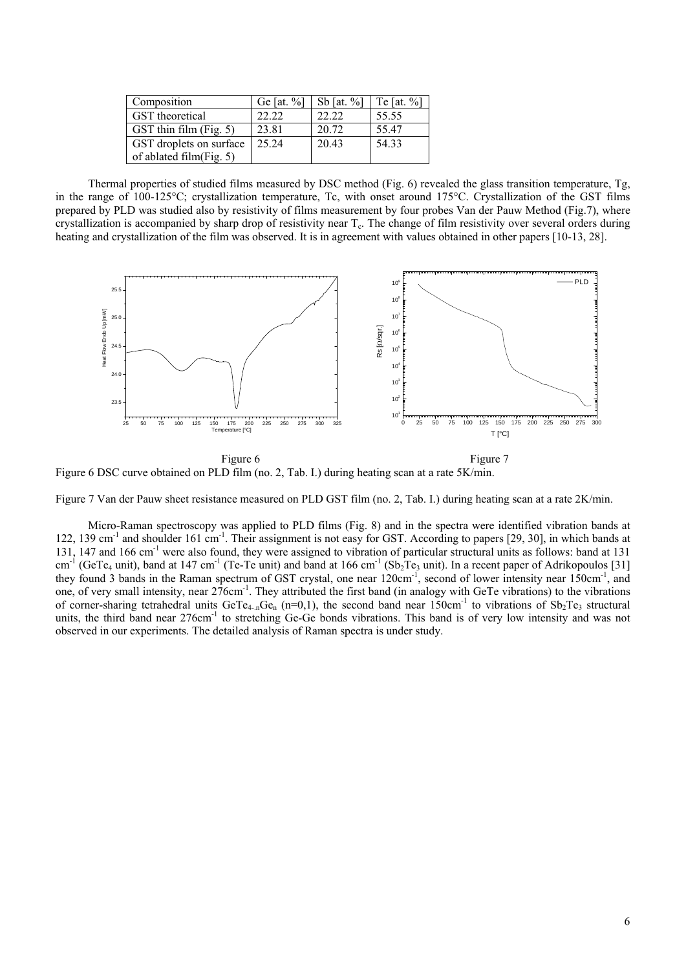| Composition                     | Ge [at. $%$ ] | Sb [at. $%$ ] | Te $\lceil \det 96 \rceil$ |
|---------------------------------|---------------|---------------|----------------------------|
| <b>GST</b> theoretical          | 22.22         | 22.22         | 55.55                      |
| $\text{GST thin film (Fig. 5)}$ | 23.81         | 20.72         | 55.47                      |
| GST droplets on surface         | 25 24         | 20.43         | 54.33                      |
| of ablated film $(Fig. 5)$      |               |               |                            |

Thermal properties of studied films measured by DSC method (Fig. 6) revealed the glass transition temperature, Tg, in the range of 100-125°C; crystallization temperature, Tc, with onset around 175°C. Crystallization of the GST films prepared by PLD was studied also by resistivity of films measurement by four probes Van der Pauw Method (Fig.7), where crystallization is accompanied by sharp drop of resistivity near T<sub>c</sub>. The change of film resistivity over several orders during heating and crystallization of the film was observed. It is in agreement with values obtained in other papers [10-13, 28].



Figure 6 DSC curve obtained on PLD film (no. 2, Tab. I.) during heating scan at a rate 5K/min.

Figure 7 Van der Pauw sheet resistance measured on PLD GST film (no. 2, Tab. I.) during heating scan at a rate 2K/min.

Micro-Raman spectroscopy was applied to PLD films (Fig. 8) and in the spectra were identified vibration bands at 122, 139 cm<sup>-1</sup> and shoulder 161 cm<sup>-1</sup>. Their assignment is not easy for GST. According to papers [29, 30], in which bands at 131, 147 and 166 cm-1 were also found, they were assigned to vibration of particular structural units as follows: band at 131 cm<sup>-1</sup> (GeTe<sub>4</sub> unit), band at 147 cm<sup>-1</sup> (Te-Te unit) and band at 166 cm<sup>-1</sup> (Sb<sub>2</sub>Te<sub>3</sub> unit). In a recent paper of Adrikopoulos [31] they found 3 bands in the Raman spectrum of GST crystal, one near 120cm<sup>-1</sup>, second of lower intensity near 150cm<sup>-1</sup>, and one, of very small intensity, near 276cm<sup>-1</sup>. They attributed the first band (in analogy with GeTe vibrations) to the vibrations of corner-sharing tetrahedral units GeTe<sub>4-n</sub>Ge<sub>n</sub> (n=0,1), the second band near 150cm<sup>-1</sup> to vibrations of Sb<sub>2</sub>Te<sub>3</sub> structural units, the third band near 276cm<sup>-1</sup> to stretching Ge-Ge bonds vibrations. This band is of very low intensity and was not observed in our experiments. The detailed analysis of Raman spectra is under study.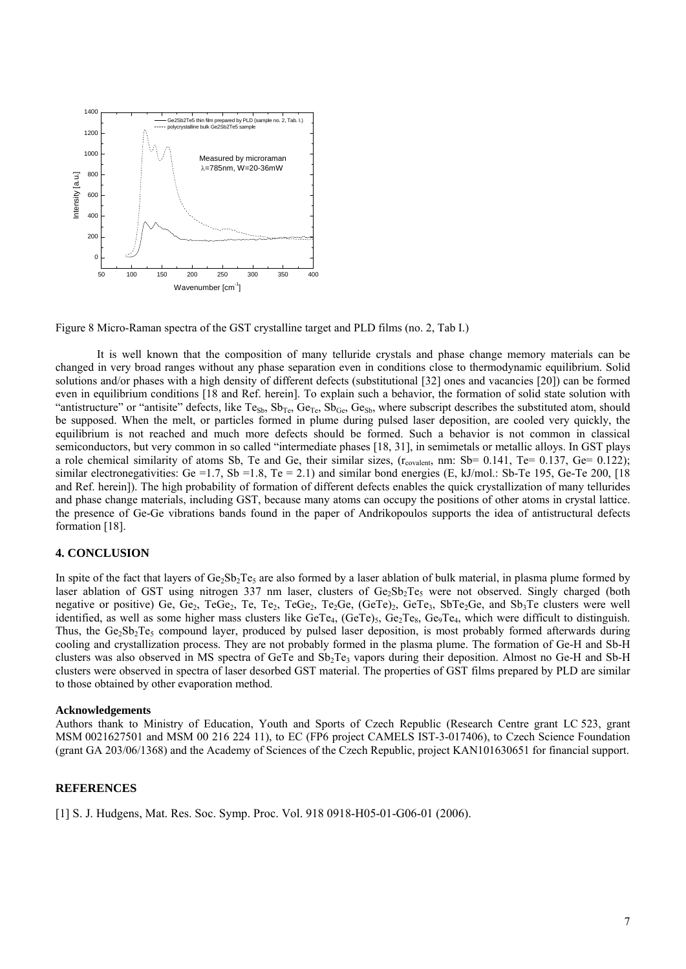

Figure 8 Micro-Raman spectra of the GST crystalline target and PLD films (no. 2, Tab I.)

It is well known that the composition of many telluride crystals and phase change memory materials can be changed in very broad ranges without any phase separation even in conditions close to thermodynamic equilibrium. Solid solutions and/or phases with a high density of different defects (substitutional [32] ones and vacancies [20]) can be formed even in equilibrium conditions [18 and Ref. herein]. To explain such a behavior, the formation of solid state solution with "antistructure" or "antisite" defects, like Te<sub>Sb</sub>, Sb<sub>Te</sub>, Ge<sub>Te</sub>, Sb<sub>Ge</sub>, Ge<sub>Sb</sub>, where subscript describes the substituted atom, should be supposed. When the melt, or particles formed in plume during pulsed laser deposition, are cooled very quickly, the equilibrium is not reached and much more defects should be formed. Such a behavior is not common in classical semiconductors, but very common in so called "intermediate phases [18, 31], in semimetals or metallic alloys. In GST plays a role chemical similarity of atoms Sb, Te and Ge, their similar sizes,  $(r_{\text{covalent}}$ , nm: Sb= 0.141, Te= 0.137, Ge= 0.122); similar electronegativities: Ge =1.7, Sb =1.8, Te = 2.1) and similar bond energies (E, kJ/mol.: Sb-Te 195, Ge-Te 200, [18] and Ref. herein]). The high probability of formation of different defects enables the quick crystallization of many tellurides and phase change materials, including GST, because many atoms can occupy the positions of other atoms in crystal lattice. the presence of Ge-Ge vibrations bands found in the paper of Andrikopoulos supports the idea of antistructural defects formation [18].

## **4. CONCLUSION**

In spite of the fact that layers of Ge $_2$ Sb $_2$ Te<sub>5</sub> are also formed by a laser ablation of bulk material, in plasma plume formed by laser ablation of GST using nitrogen 337 nm laser, clusters of Ge<sub>2</sub>Sb<sub>2</sub>Te<sub>5</sub> were not observed. Singly charged (both negative or positive) Ge, Ge<sub>2</sub>, TeGe<sub>2</sub>, Te, Te<sub>2</sub>, TeGe<sub>2</sub>, Te<sub>2</sub>Ge, (GeTe)<sub>2</sub>, GeTe<sub>3</sub>, SbTe<sub>2</sub>Ge, and Sb<sub>3</sub>Te clusters were well identified, as well as some higher mass clusters like GeTe<sub>4</sub>, (GeTe)<sub>5</sub>, Ge<sub>2</sub>Te<sub>8</sub>, Ge<sub>9</sub>Te<sub>4</sub>, which were difficult to distinguish. Thus, the Ge<sub>2</sub>Sb<sub>2</sub>Te<sub>5</sub> compound layer, produced by pulsed laser deposition, is most probably formed afterwards during cooling and crystallization process. They are not probably formed in the plasma plume. The formation of Ge-H and Sb-H clusters was also observed in MS spectra of GeTe and  $Sb_2Te_3$  vapors during their deposition. Almost no Ge-H and Sb-H clusters were observed in spectra of laser desorbed GST material. The properties of GST films prepared by PLD are similar to those obtained by other evaporation method.

#### **Acknowledgements**

Authors thank to Ministry of Education, Youth and Sports of Czech Republic (Research Centre grant LC 523, grant MSM 0021627501 and MSM 00 216 224 11), to EC (FP6 project CAMELS IST-3-017406), to Czech Science Foundation (grant GA 203/06/1368) and the Academy of Sciences of the Czech Republic, project KAN101630651 for financial support.

## **REFERENCES**

[1] S. J. Hudgens, Mat. Res. Soc. Symp. Proc. Vol. 918 0918-H05-01-G06-01 (2006).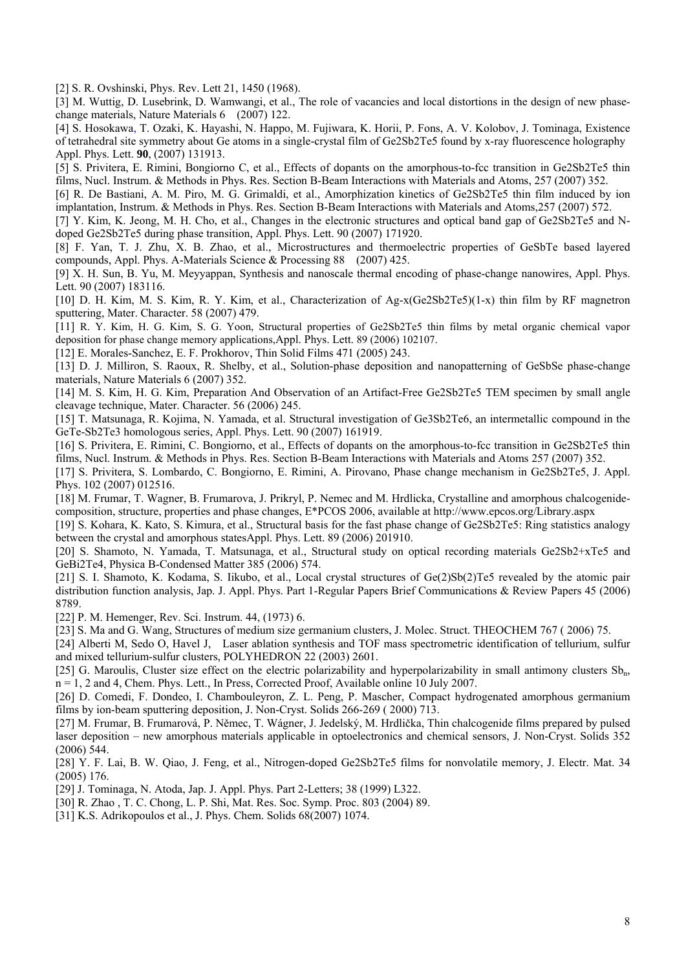[2] S. R. Ovshinski, Phys. Rev. Lett 21, 1450 (1968).

[3] M. Wuttig, D. Lusebrink, D. Wamwangi, et al., The role of vacancies and local distortions in the design of new phasechange materials, Nature Materials 6 (2007) 122.

[4] S. Hosokawa, T. Ozaki, K. Hayashi, N. Happo, M. Fujiwara, K. Horii, P. Fons, A. V. Kolobov, J. Tominaga, Existence of tetrahedral site symmetry about Ge atoms in a single-crystal film of Ge2Sb2Te5 found by x-ray fluorescence holography Appl. Phys. Lett. **90**, (2007) 131913.

[5] S. Privitera, E. Rimini, Bongiorno C, et al., Effects of dopants on the amorphous-to-fcc transition in Ge2Sb2Te5 thin films, Nucl. Instrum. & Methods in Phys. Res. Section B-Beam Interactions with Materials and Atoms, 257 (2007) 352.

[6] R. De Bastiani, A. M. Piro, M. G. Grimaldi, et al., Amorphization kinetics of Ge2Sb2Te5 thin film induced by ion implantation, Instrum. & Methods in Phys. Res. Section B-Beam Interactions with Materials and Atoms,257 (2007) 572.

[7] Y. Kim, K. Jeong, M. H. Cho, et al., Changes in the electronic structures and optical band gap of Ge2Sb2Te5 and Ndoped Ge2Sb2Te5 during phase transition, Appl. Phys. Lett. 90 (2007) 171920.

[8] F. Yan, T. J. Zhu, X. B. Zhao, et al., Microstructures and thermoelectric properties of GeSbTe based layered compounds, Appl. Phys. A-Materials Science & Processing 88 (2007) 425.

[9] X. H. Sun, B. Yu, M. Meyyappan, Synthesis and nanoscale thermal encoding of phase-change nanowires, Appl. Phys. Lett. 90 (2007) 183116.

[10] D. H. Kim, M. S. Kim, R. Y. Kim, et al., Characterization of Ag-x(Ge2Sb2Te5)(1-x) thin film by RF magnetron sputtering, Mater. Character. 58 (2007) 479.

[11] R. Y. Kim, H. G. Kim, S. G. Yoon, Structural properties of Ge2Sb2Te5 thin films by metal organic chemical vapor deposition for phase change memory applications,Appl. Phys. Lett. 89 (2006) 102107.

[12] E. Morales-Sanchez, E. F. Prokhorov, Thin Solid Films 471 (2005) 243.

[13] D. J. Milliron, S. Raoux, R. Shelby, et al., Solution-phase deposition and nanopatterning of GeSbSe phase-change materials, Nature Materials 6 (2007) 352.

[14] M. S. Kim, H. G. Kim, Preparation And Observation of an Artifact-Free Ge2Sb2Te5 TEM specimen by small angle cleavage technique, Mater. Character. 56 (2006) 245.

[15] T. Matsunaga, R. Kojima, N. Yamada, et al. Structural investigation of Ge3Sb2Te6, an intermetallic compound in the GeTe-Sb2Te3 homologous series, Appl. Phys. Lett. 90 (2007) 161919.

[16] S. Privitera, E. Rimini, C. Bongiorno, et al., Effects of dopants on the amorphous-to-fcc transition in Ge2Sb2Te5 thin films, Nucl. Instrum. & Methods in Phys. Res. Section B-Beam Interactions with Materials and Atoms 257 (2007) 352.

[17] S. Privitera, S. Lombardo, C. Bongiorno, E. Rimini, A. Pirovano, Phase change mechanism in Ge2Sb2Te5, J. Appl. Phys. 102 (2007) 012516.

[18] M. Frumar, T. Wagner, B. Frumarova, J. Prikryl, P. Nemec and M. Hrdlicka, Crystalline and amorphous chalcogenidecomposition, structure, properties and phase changes, E\*PCOS 2006, available at http://www.epcos.org/Library.aspx

[19] S. Kohara, K. Kato, S. Kimura, et al., Structural basis for the fast phase change of Ge2Sb2Te5: Ring statistics analogy between the crystal and amorphous statesAppl. Phys. Lett. 89 (2006) 201910.

[20] S. Shamoto, N. Yamada, T. Matsunaga, et al., Structural study on optical recording materials Ge2Sb2+xTe5 and GeBi2Te4, Physica B-Condensed Matter 385 (2006) 574.

[21] S. I. Shamoto, K. Kodama, S. Iikubo, et al., Local crystal structures of Ge(2)Sb(2)Te5 revealed by the atomic pair distribution function analysis, Jap. J. Appl. Phys. Part 1-Regular Papers Brief Communications & Review Papers 45 (2006) 8789.

[22] P. M. Hemenger, Rev. Sci. Instrum. 44, (1973) 6.

[23] S. Ma and G. Wang, Structures of medium size germanium clusters, J. Molec. Struct. THEOCHEM 767 ( 2006) 75.

[24] Alberti M, Sedo O, Havel J, Laser ablation synthesis and TOF mass spectrometric identification of tellurium, sulfur and mixed tellurium-sulfur clusters, POLYHEDRON 22 (2003) 2601.

[25] G. Maroulis, Cluster size effect on the electric polarizability and hyperpolarizability in small antimony clusters  $Sb_n$ , n = 1, 2 and 4, Chem. Phys. Lett., In Press, Corrected Proof, Available online 10 July 2007.

[26] D. Comedi, F. Dondeo, I. Chambouleyron, Z. L. Peng, P. Mascher, Compact hydrogenated amorphous germanium films by ion-beam sputtering deposition, J. Non-Cryst. Solids 266-269 ( 2000) 713.

[27] M. Frumar, B. Frumarová, P. Němec, T. Wágner, J. Jedelský, M. Hrdlička, Thin chalcogenide films prepared by pulsed laser deposition – new amorphous materials applicable in optoelectronics and chemical sensors, J. Non-Cryst. Solids 352 (2006) 544.

[28] Y. F. Lai, B. W. Qiao, J. Feng, et al., Nitrogen-doped Ge2Sb2Te5 films for nonvolatile memory, J. Electr. Mat. 34 (2005) 176.

[29] J. Tominaga, N. Atoda, Jap. J. Appl. Phys. Part 2-Letters; 38 (1999) L322.

[30] R. Zhao , T. C. Chong, L. P. Shi, Mat. Res. Soc. Symp. Proc. 803 (2004) 89.

[31] K.S. Adrikopoulos et al., J. Phys. Chem. Solids 68(2007) 1074.